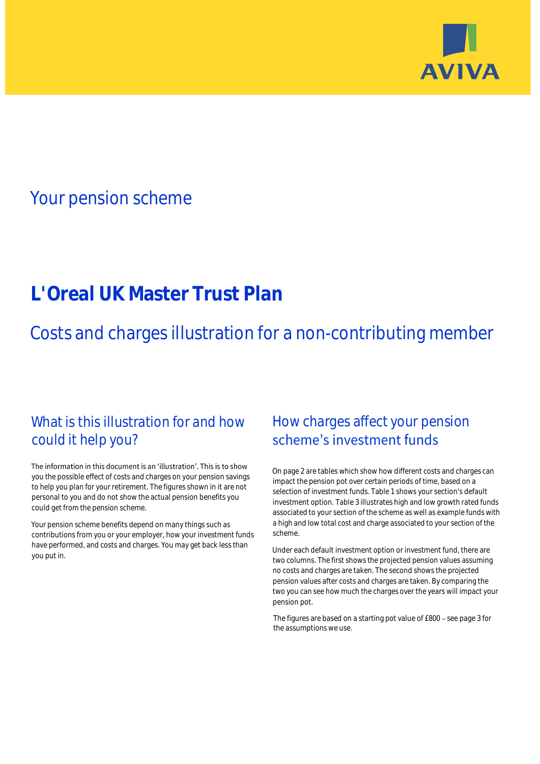

## Your pension scheme

# **L'Oreal UK Master Trust Plan**

Costs and charges illustration for a non-contributing member

### What is this illustration for and how could it help you?

#### The information in this document is an 'illustration'. This is to show you the possible effect of costs and charges on your pension savings to help you plan for your retirement. The figures shown in it are not personal to you and do not show the actual pension benefits you could get from the pension scheme.

Your pension scheme benefits depend on many things such as contributions from you or your employer, how your investment funds have performed, and costs and charges. You may get back less than you put in.

### How charges affect your pension scheme's investment funds

On page 2 are tables which show how different costs and charges can impact the pension pot over certain periods of time, based on a selection of investment funds. Table 1 shows your section's default investment option. Table 3 illustrates high and low growth rated funds associated to your section of the scheme as well as example funds with a high and low total cost and charge associated to your section of the scheme.

Under each default investment option or investment fund, there are two columns. The first shows the projected pension values assuming no costs and charges are taken. The second shows the projected pension values after costs and charges are taken. By comparing the two you can see how much the charges over the years will impact your pension pot.

The figures are based on a starting pot value of £800 - see page 3 for the assumptions we use.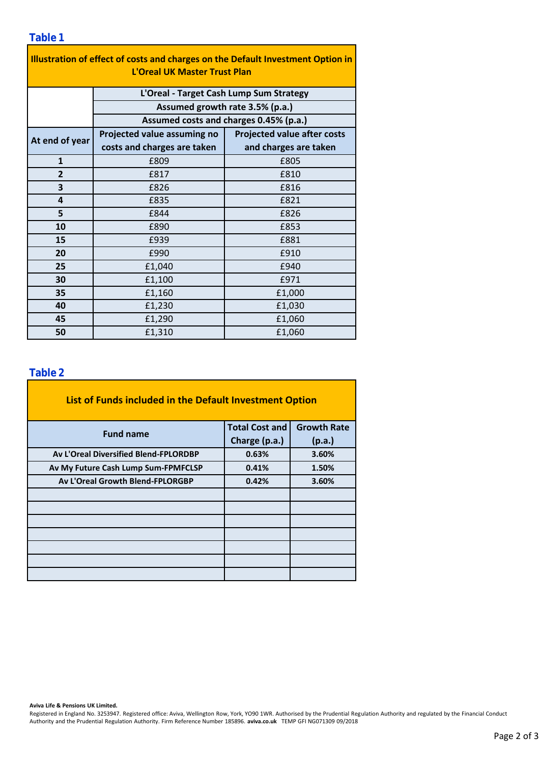| Illustration of effect of costs and charges on the Default Investment Option in<br><b>L'Oreal UK Master Trust Plan</b> |                                         |                                    |  |  |  |  |
|------------------------------------------------------------------------------------------------------------------------|-----------------------------------------|------------------------------------|--|--|--|--|
|                                                                                                                        | L'Oreal - Target Cash Lump Sum Strategy |                                    |  |  |  |  |
|                                                                                                                        | Assumed growth rate 3.5% (p.a.)         |                                    |  |  |  |  |
|                                                                                                                        | Assumed costs and charges 0.45% (p.a.)  |                                    |  |  |  |  |
| At end of year                                                                                                         | Projected value assuming no             | <b>Projected value after costs</b> |  |  |  |  |
|                                                                                                                        | costs and charges are taken             | and charges are taken              |  |  |  |  |
| $\mathbf{1}$                                                                                                           | £809                                    | £805                               |  |  |  |  |
| $\overline{2}$                                                                                                         | £817                                    | £810                               |  |  |  |  |
| 3                                                                                                                      | £826                                    | £816                               |  |  |  |  |
| 4                                                                                                                      | £835                                    | £821                               |  |  |  |  |
| 5                                                                                                                      | £844                                    | £826                               |  |  |  |  |
| 10                                                                                                                     | £890                                    | £853                               |  |  |  |  |
| 15                                                                                                                     | £939                                    | £881                               |  |  |  |  |
| 20                                                                                                                     | £990                                    | £910                               |  |  |  |  |
| 25                                                                                                                     | £1,040                                  | £940                               |  |  |  |  |
| 30                                                                                                                     | £1,100                                  | £971                               |  |  |  |  |
| 35                                                                                                                     | £1,160                                  | £1,000                             |  |  |  |  |
| 40                                                                                                                     | £1,230                                  | £1,030                             |  |  |  |  |
| 45                                                                                                                     | £1,290                                  | £1,060                             |  |  |  |  |
| 50                                                                                                                     | £1,310                                  | £1,060                             |  |  |  |  |

#### **Table 2**

| List of Funds included in the Default Investment Option |                       |                    |
|---------------------------------------------------------|-----------------------|--------------------|
| <b>Fund name</b>                                        | <b>Total Cost and</b> | <b>Growth Rate</b> |
|                                                         | Charge (p.a.)         | (p.a.)             |
| Av L'Oreal Diversified Blend-FPLORDBP                   | 0.63%                 | 3.60%              |
| Av My Future Cash Lump Sum-FPMFCLSP                     | 0.41%                 | 1.50%              |
| <b>Av L'Oreal Growth Blend-FPLORGBP</b>                 | 0.42%                 | 3.60%              |
|                                                         |                       |                    |
|                                                         |                       |                    |
|                                                         |                       |                    |
|                                                         |                       |                    |
|                                                         |                       |                    |
|                                                         |                       |                    |
|                                                         |                       |                    |

**Aviva Life & Pensions UK Limited.**

Registered in England No. 3253947. Registered office: Aviva, Wellington Row, York, YO90 1WR. Authorised by the Prudential Regulation Authority and regulated by the Financial Conduct Authority and the Prudential Regulation Authority. Firm Reference Number 185896. **aviva.co.uk** TEMP GFI NG071309 09/2018